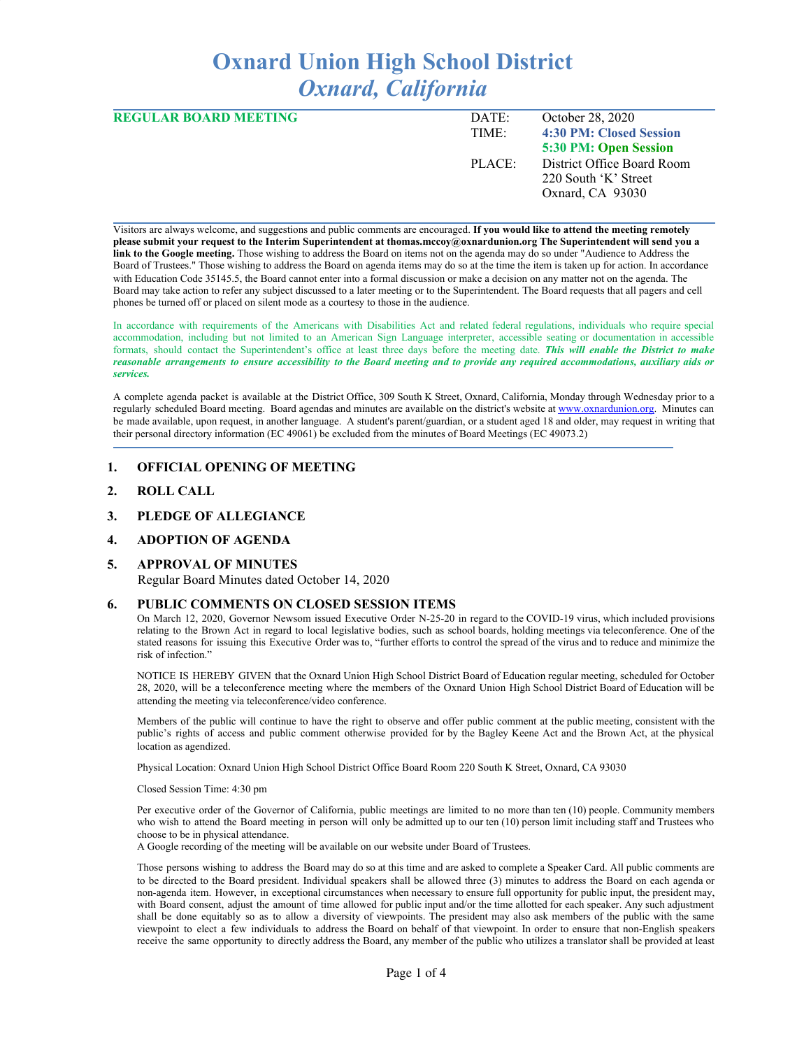# **Oxnard Union High School District** *Oxnard, California*

| <b>REGULAR BOARD MEETING</b> | DATE:     | October 28, 2020           |
|------------------------------|-----------|----------------------------|
|                              | TIME:     | 4:30 PM: Closed Session    |
|                              |           | 5:30 PM: Open Session      |
|                              | $PIACE^+$ | District Office Board Room |
|                              |           | 220 South 'K' Street       |
|                              |           | Oxnard, CA 93030           |
|                              |           |                            |

Visitors are always welcome, and suggestions and public comments are encouraged. **If you would like to attend the meeting remotely** please submit your request to the Interim Superintendent at thomas.mccoy@oxnardunion.org The Superintendent will send you a **link to the Google meeting.** Those wishing to address the Board on items not on the agenda may do so under "Audience to Address the Board of Trustees." Those wishing to address the Board on agenda items may do so at the time the item is taken up for action. In accordance with Education Code 35145.5, the Board cannot enter into a formal discussion or make a decision on any matter not on the agenda. The Board may take action to refer any subject discussed to a later meeting or to the Superintendent. The Board requests that all pagers and cell phones be turned off or placed on silent mode as a courtesy to those in the audience.

In accordance with requirements of the Americans with Disabilities Act and related federal regulations, individuals who require special accommodation, including but not limited to an American Sign Language interpreter, accessible seating or documentation in accessible formats, should contact the Superintendent's office at least three days before the meeting date. *This will enable the District to make* reasonable arrangements to ensure accessibility to the Board meeting and to provide any required accommodations, auxiliary aids or *services.*

A complete agenda packet is available at the District Office, 309 South K Street, Oxnard, California, Monday through Wednesday prior to a regularly scheduled Board meeting. Board agendas and minutes are available on the district's website at [www.ox](http://www.o/)nardunion.org. Minutes can be made available, upon request, in another language. A student's parent/guardian, or a student aged 18 and older, may request in writing that their personal directory information (EC 49061) be excluded from the minutes of Board Meetings (EC 49073.2)

#### **1. OFFICIAL OPENING OF MEETING**

- **2. ROLL CALL**
- **3. PLEDGE OF ALLEGIANCE**

## **4. ADOPTION OF AGENDA**

# **5. APPROVAL OF MINUTES**

Regular Board Minutes dated October 14, 2020

#### **6. PUBLIC COMMENTS ON CLOSED SESSION ITEMS**

On March 12, 2020, Governor Newsom issued Executive Order N-25-20 in regard to the COVID-19 virus, which included provisions relating to the Brown Act in regard to local legislative bodies, such as school boards, holding meetings via teleconference. One of the stated reasons for issuing this Executive Order was to, "further efforts to control the spread of the virus and to reduce and minimize the risk of infection."

NOTICE IS HEREBY GIVEN that the Oxnard Union High School District Board of Education regular meeting, scheduled for October 28, 2020, will be a teleconference meeting where the members of the Oxnard Union High School District Board of Education will be attending the meeting via teleconference/video conference.

Members of the public will continue to have the right to observe and offer public comment at the public meeting, consistent with the public's rights of access and public comment otherwise provided for by the Bagley Keene Act and the Brown Act, at the physical location as agendized.

Physical Location: Oxnard Union High School District Office Board Room 220 South K Street, Oxnard, CA 93030

Closed Session Time: 4:30 pm

Per executive order of the Governor of California, public meetings are limited to no more than ten (10) people. Community members who wish to attend the Board meeting in person will only be admitted up to our ten (10) person limit including staff and Trustees who choose to be in physical attendance.

A Google recording of the meeting will be available on our website under Board of Trustees.

Those persons wishing to address the Board may do so at this time and are asked to complete a Speaker Card. All public comments are to be directed to the Board president. Individual speakers shall be allowed three (3) minutes to address the Board on each agenda or non-agenda item. However, in exceptional circumstances when necessary to ensure full opportunity for public input, the president may, with Board consent, adjust the amount of time allowed for public input and/or the time allotted for each speaker. Any such adjustment shall be done equitably so as to allow a diversity of viewpoints. The president may also ask members of the public with the same viewpoint to elect a few individuals to address the Board on behalf of that viewpoint. In order to ensure that non-English speakers receive the same opportunity to directly address the Board, any member of the public who utilizes a translator shall be provided at least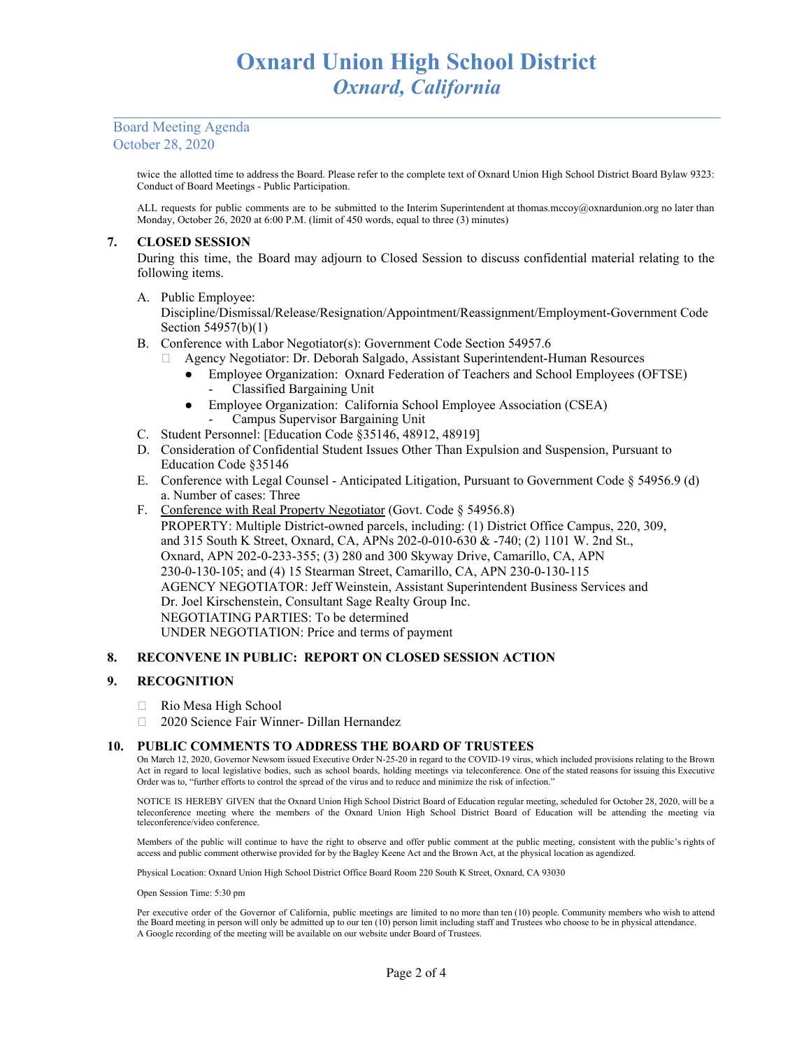## Board Meeting Agenda October 28, 2020

twice the allotted time to address the Board. Please refer to the complete text of Oxnard Union High School District Board Bylaw 9323: Conduct of Board Meetings - Public Participation.

ALL requests for public comments are to be submitted to the Interim Superintendent at thomas.mccoy@oxnardunion.org no later than Monday, October 26, 2020 at 6:00 P.M. (limit of 450 words, equal to three (3) minutes)

## **7. CLOSED SESSION**

During this time, the Board may adjourn to Closed Session to discuss confidential material relating to the following items.

A. Public Employee:

Discipline/Dismissal/Release/Resignation/Appointment/Reassignment/Employment-Government Code Section 54957(b)(1)

- B. Conference with Labor Negotiator(s): Government Code Section 54957.6
	- Agency Negotiator: Dr. Deborah Salgado, Assistant Superintendent-Human Resources
		- Employee Organization: Oxnard Federation of Teachers and School Employees (OFTSE) - Classified Bargaining Unit
		- Employee Organization: California School Employee Association (CSEA) - Campus Supervisor Bargaining Unit
- C. Student Personnel: [Education Code §35146, 48912, 48919]
- D. Consideration of Confidential Student Issues Other Than Expulsion and Suspension, Pursuant to Education Code §35146
- E. Conference with Legal Counsel Anticipated Litigation, Pursuant to Government Code § 54956.9 (d) a. Number of cases: Three
- F. Conference with Real Property Negotiator (Govt. Code § 54956.8) PROPERTY: Multiple District-owned parcels, including: (1) District Office Campus, 220, 309, and 315 South K Street, Oxnard, CA, APNs 202-0-010-630 & -740; (2) 1101 W. 2nd St., Oxnard, APN 202-0-233-355; (3) 280 and 300 Skyway Drive, Camarillo, CA, APN 230-0-130-105; and (4) 15 Stearman Street, Camarillo, CA, APN 230-0-130-115 AGENCY NEGOTIATOR: Jeff Weinstein, Assistant Superintendent Business Services and Dr. Joel Kirschenstein, Consultant Sage Realty Group Inc. NEGOTIATING PARTIES: To be determined UNDER NEGOTIATION: Price and terms of payment

## **8. RECONVENE IN PUBLIC: REPORT ON CLOSED SESSION ACTION**

## **9. RECOGNITION**

- Rio Mesa High School
- □ 2020 Science Fair Winner- Dillan Hernandez

#### **10. PUBLIC COMMENTS TO ADDRESS THE BOARD OF TRUSTEES**

On March 12, 2020, Governor Newsom issued Executive Order N-25-20 in regard to the COVID-19 virus, which included provisions relating to the Brown Act in regard to local legislative bodies, such as school boards, holding meetings via teleconference. One of the stated reasons for issuing this Executive Order was to, "further efforts to control the spread of the virus and to reduce and minimize the risk of infection."

NOTICE IS HEREBY GIVEN that the Oxnard Union High School District Board of Education regular meeting, scheduled for October 28, 2020, will be a teleconference meeting where the members of the Oxnard Union High School District Board of Education will be attending the meeting via teleconference/video conference.

Members of the public will continue to have the right to observe and offer public comment at the public meeting, consistent with the public's rights of access and public comment otherwise provided for by the Bagley Keene Act and the Brown Act, at the physical location as agendized.

Physical Location: Oxnard Union High School District Office Board Room 220 South K Street, Oxnard, CA 93030

Open Session Time: 5:30 pm

Per executive order of the Governor of California, public meetings are limited to no more than ten (10) people. Community members who wish to attend the Board meeting in person will only be admitted up to our ten (10) person limit including staff and Trustees who choose to be in physical attendance. A Google recording of the meeting will be available on our website under Board of Trustees.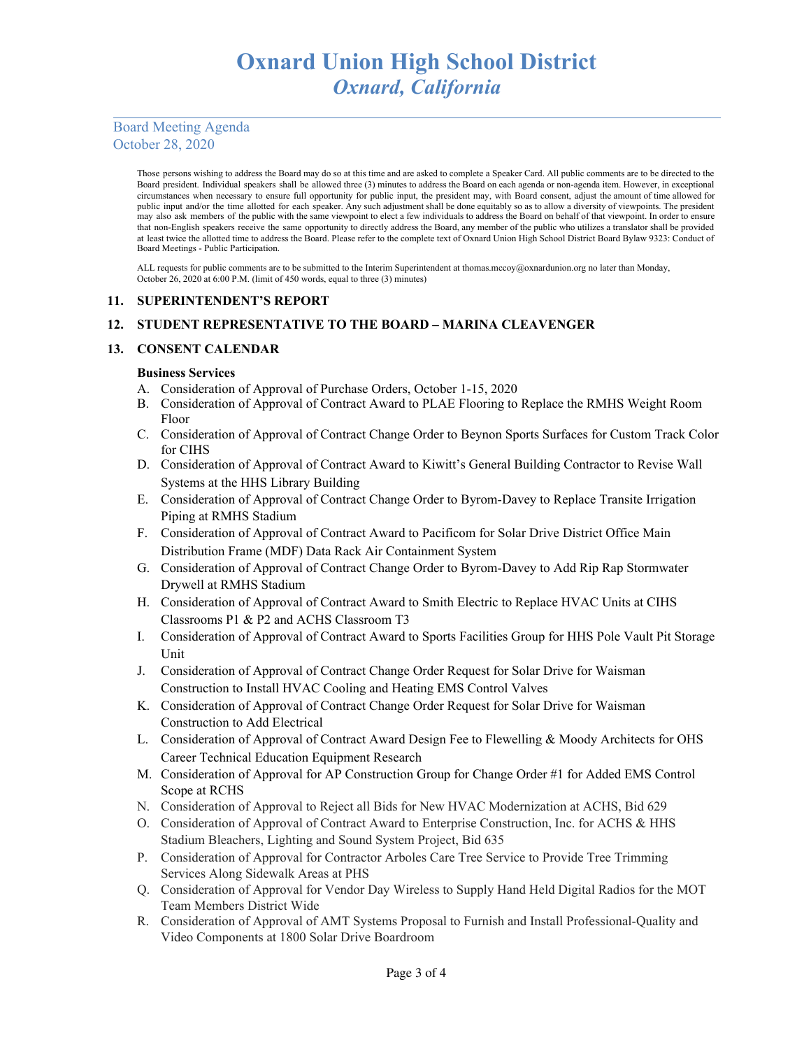## Board Meeting Agenda October 28, 2020

Those persons wishing to address the Board may do so at this time and are asked to complete a Speaker Card. All public comments are to be directed to the Board president. Individual speakers shall be allowed three (3) minutes to address the Board on each agenda or non-agenda item. However, in exceptional circumstances when necessary to ensure full opportunity for public input, the president may, with Board consent, adjust the amount of time allowed for public input and/or the time allotted for each speaker. Any such adjustment shall be done equitably so as to allow a diversity of viewpoints. The president may also ask members of the public with the same viewpoint to elect a few individuals to address the Board on behalf of that viewpoint. In order to ensure that non-English speakers receive the same opportunity to directly address the Board, any member of the public who utilizes a translator shall be provided at least twice the allotted time to address the Board. Please refer to the complete text of Oxnard Union High School District Board Bylaw 9323: Conduct of Board Meetings - Public Participation.

ALL requests for public comments are to be submitted to the Interim Superintendent at thomas.mccoy@oxnardunion.org no later than Monday, October 26, 2020 at 6:00 P.M. (limit of 450 words, equal to three (3) minutes)

## **11. SUPERINTENDENT'S REPORT**

## **12. STUDENT REPRESENTATIVE TO THE BOARD – MARINA CLEAVENGER**

## **13. CONSENT CALENDAR**

## **Business Services**

- A. Consideration of Approval of Purchase Orders, October 1-15, 2020
- B. Consideration of Approval of Contract Award to PLAE Flooring to Replace the RMHS Weight Room Floor
- C. Consideration of Approval of Contract Change Order to Beynon Sports Surfaces for Custom Track Color for CIHS
- D. Consideration of Approval of Contract Award to Kiwitt's General Building Contractor to Revise Wall Systems at the HHS Library Building
- E. Consideration of Approval of Contract Change Order to Byrom-Davey to Replace Transite Irrigation Piping at RMHS Stadium
- F. Consideration of Approval of Contract Award to Pacificom for Solar Drive District Office Main Distribution Frame (MDF) Data Rack Air Containment System
- G. Consideration of Approval of Contract Change Order to Byrom-Davey to Add Rip Rap Stormwater Drywell at RMHS Stadium
- H. Consideration of Approval of Contract Award to Smith Electric to Replace HVAC Units at CIHS Classrooms P1 & P2 and ACHS Classroom T3
- I. Consideration of Approval of Contract Award to Sports Facilities Group for HHS Pole Vault Pit Storage Unit
- J. Consideration of Approval of Contract Change Order Request for Solar Drive for Waisman Construction to Install HVAC Cooling and Heating EMS Control Valves
- K. Consideration of Approval of Contract Change Order Request for Solar Drive for Waisman Construction to Add Electrical
- L. Consideration of Approval of Contract Award Design Fee to Flewelling & Moody Architects for OHS Career Technical Education Equipment Research
- M. Consideration of Approval for AP Construction Group for Change Order #1 for Added EMS Control Scope at RCHS
- N. Consideration of Approval to Reject all Bids for New HVAC Modernization at ACHS, Bid 629
- O. Consideration of Approval of Contract Award to Enterprise Construction, Inc. for ACHS & HHS Stadium Bleachers, Lighting and Sound System Project, Bid 635
- P. Consideration of Approval for Contractor Arboles Care Tree Service to Provide Tree Trimming Services Along Sidewalk Areas at PHS
- Q. Consideration of Approval for Vendor Day Wireless to Supply Hand Held Digital Radios for the MOT Team Members District Wide
- R. Consideration of Approval of AMT Systems Proposal to Furnish and Install Professional-Quality and Video Components at 1800 Solar Drive Boardroom